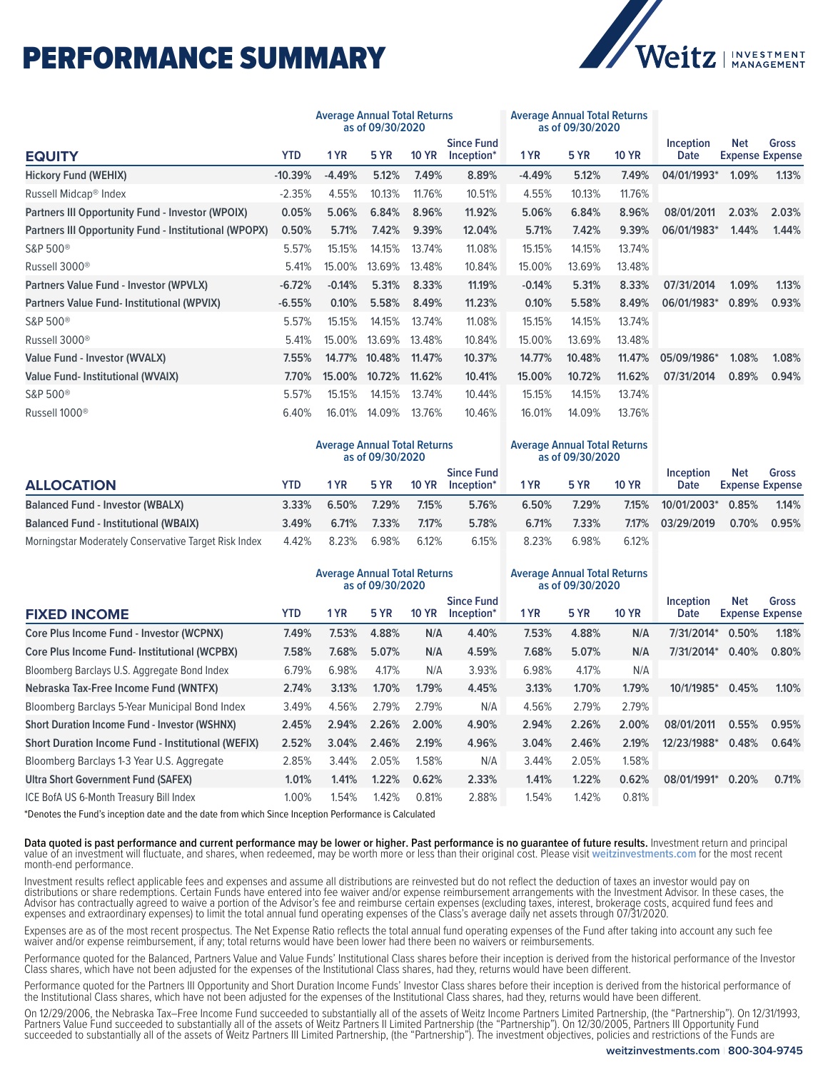## PERFORMANCE SUMMARY



|                                                           | <b>Average Annual Total Returns</b><br>as of 09/30/2020 |          |             |              |                                 | <b>Average Annual Total Returns</b><br>as of 09/30/2020 |             |              |                                 |                                      |                                        |
|-----------------------------------------------------------|---------------------------------------------------------|----------|-------------|--------------|---------------------------------|---------------------------------------------------------|-------------|--------------|---------------------------------|--------------------------------------|----------------------------------------|
| <b>EQUITY</b>                                             | <b>YTD</b>                                              | 1 YR     | <b>5 YR</b> | <b>10 YR</b> | <b>Since Fund</b><br>Inception* | 1 YR                                                    | <b>5 YR</b> | <b>10 YR</b> | <b>Inception</b><br><b>Date</b> | <b>Net</b>                           | <b>Gross</b><br><b>Expense Expense</b> |
| <b>Hickory Fund (WEHIX)</b>                               | $-10.39%$                                               | $-4.49%$ | 5.12%       | 7.49%        | 8.89%                           | $-4.49%$                                                | 5.12%       | 7.49%        | 04/01/1993*                     | 1.09%                                | 1.13%                                  |
| Russell Midcap <sup>®</sup> Index                         | $-2.35%$                                                | 4.55%    | 10.13%      | 11.76%       | 10.51%                          | 4.55%                                                   | 10.13%      | 11.76%       |                                 |                                      |                                        |
| <b>Partners III Opportunity Fund - Investor (WPOIX)</b>   | 0.05%                                                   | 5.06%    | 6.84%       | 8.96%        | 11.92%                          | 5.06%                                                   | 6.84%       | 8.96%        | 08/01/2011                      | 2.03%                                | 2.03%                                  |
| Partners III Opportunity Fund - Institutional (WPOPX)     | 0.50%                                                   | 5.71%    | 7.42%       | 9.39%        | 12.04%                          | 5.71%                                                   | 7.42%       | 9.39%        | 06/01/1983*                     | 1.44%                                | 1.44%                                  |
| S&P 500 <sup>®</sup>                                      | 5.57%                                                   | 15.15%   | 14.15%      | 13.74%       | 11.08%                          | 15.15%                                                  | 14.15%      | 13.74%       |                                 |                                      |                                        |
| Russell 3000 <sup>®</sup>                                 | 5.41%                                                   | 15.00%   | 13.69%      | 13.48%       | 10.84%                          | 15.00%                                                  | 13.69%      | 13.48%       |                                 |                                      |                                        |
| Partners Value Fund - Investor (WPVLX)                    | $-6.72%$                                                | $-0.14%$ | 5.31%       | 8.33%        | 11.19%                          | $-0.14%$                                                | 5.31%       | 8.33%        | 07/31/2014                      | 1.09%                                | 1.13%                                  |
| <b>Partners Value Fund-Institutional (WPVIX)</b>          | $-6.55%$                                                | 0.10%    | 5.58%       | 8.49%        | 11.23%                          | 0.10%                                                   | 5.58%       | 8.49%        | 06/01/1983*                     | 0.89%                                | 0.93%                                  |
| S&P 500 <sup>®</sup>                                      | 5.57%                                                   | 15.15%   | 14.15%      | 13.74%       | 11.08%                          | 15.15%                                                  | 14.15%      | 13.74%       |                                 |                                      |                                        |
| Russell 3000 <sup>®</sup>                                 | 5.41%                                                   | 15.00%   | 13.69%      | 13.48%       | 10.84%                          | 15.00%                                                  | 13.69%      | 13.48%       |                                 |                                      |                                        |
| <b>Value Fund - Investor (WVALX)</b>                      | 7.55%                                                   | 14.77%   | 10.48%      | 11.47%       | 10.37%                          | 14.77%                                                  | 10.48%      | 11.47%       | 05/09/1986*                     | 1.08%                                | 1.08%                                  |
| <b>Value Fund-Institutional (WVAIX)</b>                   | 7.70%                                                   | 15.00%   | 10.72%      | 11.62%       | 10.41%                          | 15.00%                                                  | 10.72%      | 11.62%       | 07/31/2014                      | 0.89%                                | 0.94%                                  |
| S&P 500 <sup>®</sup>                                      | 5.57%                                                   | 15.15%   | 14.15%      | 13.74%       | 10.44%                          | 15.15%                                                  | 14.15%      | 13.74%       |                                 |                                      |                                        |
| Russell 1000 <sup>®</sup>                                 | 6.40%                                                   | 16.01%   | 14.09%      | 13.76%       | 10.46%                          | 16.01%                                                  | 14.09%      | 13.76%       |                                 |                                      |                                        |
|                                                           | <b>Average Annual Total Returns</b><br>as of 09/30/2020 |          |             |              |                                 | <b>Average Annual Total Returns</b><br>as of 09/30/2020 |             |              |                                 |                                      |                                        |
| <b>ALLOCATION</b>                                         | <b>YTD</b>                                              | 1 YR     | <b>5 YR</b> | <b>10 YR</b> | <b>Since Fund</b><br>Inception* | 1 YR                                                    | 5 YR        | <b>10 YR</b> | Inception<br><b>Date</b>        | Net<br><b>Expense Expense</b>        | <b>Gross</b>                           |
| <b>Balanced Fund - Investor (WBALX)</b>                   | 3.33%                                                   | 6.50%    | 7.29%       | 7.15%        | 5.76%                           | 6.50%                                                   | 7.29%       | 7.15%        | 10/01/2003*                     | 0.85%                                | 1.14%                                  |
| <b>Balanced Fund - Institutional (WBAIX)</b>              | 3.49%                                                   | 6.71%    | 7.33%       | 7.17%        | 5.78%                           | 6.71%                                                   | 7.33%       | 7.17%        | 03/29/2019                      | 0.70%                                | 0.95%                                  |
| Morningstar Moderately Conservative Target Risk Index     | 4.42%                                                   | 8.23%    | 6.98%       | 6.12%        | 6.15%                           | 8.23%                                                   | 6.98%       | 6.12%        |                                 |                                      |                                        |
|                                                           | <b>Average Annual Total Returns</b><br>as of 09/30/2020 |          |             |              |                                 | <b>Average Annual Total Returns</b><br>as of 09/30/2020 |             |              |                                 |                                      |                                        |
| <b>FIXED INCOME</b>                                       | <b>YTD</b>                                              | 1 YR     | 5 YR        | <b>10 YR</b> | <b>Since Fund</b><br>Inception* | 1 YR                                                    | <b>5 YR</b> | <b>10 YR</b> | <b>Inception</b><br><b>Date</b> | <b>Net</b><br><b>Expense Expense</b> | <b>Gross</b>                           |
| Core Plus Income Fund - Investor (WCPNX)                  | 7.49%                                                   | 7.53%    | 4.88%       | N/A          | 4.40%                           | 7.53%                                                   | 4.88%       | N/A          | 7/31/2014*                      | 0.50%                                | 1.18%                                  |
| Core Plus Income Fund- Institutional (WCPBX)              | 7.58%                                                   | 7.68%    | 5.07%       | N/A          | 4.59%                           | 7.68%                                                   | 5.07%       | N/A          | 7/31/2014*                      | 0.40%                                | 0.80%                                  |
| Bloomberg Barclays U.S. Aggregate Bond Index              | 6.79%                                                   | 6.98%    | 4.17%       | N/A          | 3.93%                           | 6.98%                                                   | 4.17%       | N/A          |                                 |                                      |                                        |
| Nebraska Tax-Free Income Fund (WNTFX)                     | 2.74%                                                   | 3.13%    | 1.70%       | 1.79%        | 4.45%                           | 3.13%                                                   | 1.70%       | 1.79%        | 10/1/1985*                      | 0.45%                                | 1.10%                                  |
| Bloomberg Barclays 5-Year Municipal Bond Index            | 3.49%                                                   | 4.56%    | 2.79%       | 2.79%        | N/A                             | 4.56%                                                   | 2.79%       | 2.79%        |                                 |                                      |                                        |
| <b>Short Duration Income Fund - Investor (WSHNX)</b>      | 2.45%                                                   | 2.94%    | 2.26%       | 2.00%        | 4.90%                           | 2.94%                                                   | 2.26%       | 2.00%        | 08/01/2011                      | 0.55%                                | 0.95%                                  |
| <b>Short Duration Income Fund - Institutional (WEFIX)</b> | 2.52%                                                   | 3.04%    | 2.46%       | 2.19%        | 4.96%                           | 3.04%                                                   | 2.46%       | 2.19%        | 12/23/1988*                     | 0.48%                                | 0.64%                                  |
| Bloomberg Barclays 1-3 Year U.S. Aggregate                | 2.85%                                                   | 3.44%    | 2.05%       | 1.58%        | N/A                             | 3.44%                                                   | 2.05%       | 1.58%        |                                 |                                      |                                        |
| <b>Ultra Short Government Fund (SAFEX)</b>                | 1.01%                                                   | 1.41%    | 1.22%       | 0.62%        | 2.33%                           | 1.41%                                                   | 1.22%       | 0.62%        | 08/01/1991*                     | 0.20%                                | 0.71%                                  |
| ICE BofA US 6-Month Treasury Bill Index                   | 1.00%                                                   | 1.54%    | 1.42%       | 0.81%        | 2.88%                           | 1.54%                                                   | 1.42%       | 0.81%        |                                 |                                      |                                        |

\*Denotes the Fund's inception date and the date from which Since Inception Performance is Calculated

**Data quoted is past performance and current performance may be lower or higher. Past performance is no guarantee of future results.** Investment return and principal value of an investment will fluctuate, and shares, when redeemed, may be worth more or less than their original cost. Please visit **[weitzinvestments.com](https://weitzinvestments.com/funds_and_performance/fund_performance.fs)** for the most recent month-end performance.

Investment results reflect applicable fees and expenses and assume all distributions are reinvested but do not reflect the deduction of taxes an investor would pay on distributions or share redemptions. Certain Funds have entered into fee waiver and/or expense reimbursement arrangements with the Investment Advisor. In these cases, the Advisor has contractually agreed to waive a portion of the Advisor's fee and reimburse certain expenses (excluding taxes, interest, brokerage costs, acquired fund fees and expenses and extraordinary expenses) to limit the total annual fund operating expenses of the Class's average daily net assets through 07/31/2020.

Expenses are as of the most recent prospectus. The Net Expense Ratio reflects the total annual fund operating expenses of the Fund after taking into account any such fee waiver and/or expense reimbursement, if any; total returns would have been lower had there been no waivers or reimbursements.

Performance quoted for the Balanced, Partners Value and Value Funds' Institutional Class shares before their inception is derived from the historical performance of the Investor Class shares, which have not been adjusted for the expenses of the Institutional Class shares, had they, returns would have been different.

Performance quoted for the Partners III Opportunity and Short Duration Income Funds' Investor Class shares before their inception is derived from the historical performance of the Institutional Class shares, which have not been adjusted for the expenses of the Institutional Class shares, had they, returns would have been different.

On 12/29/2006, the Nebraska Tax–Free Income Fund succeeded to substantially all of the assets of Weitz Income Partners Limited Partnership, (the "Partnership"). On 12/31/1993, Partners Value Fund succeeded to substantially all of the assets of Weitz Partner's II Limited Partnership (the "Partnership"). On 12/30/2005, Partners III Opportunity Fund succeeded to substantially all of the assets of Weitz Partners III Limited Partnership, (the "Partnership"). The investment objectives, policies and restrictions of the Funds are